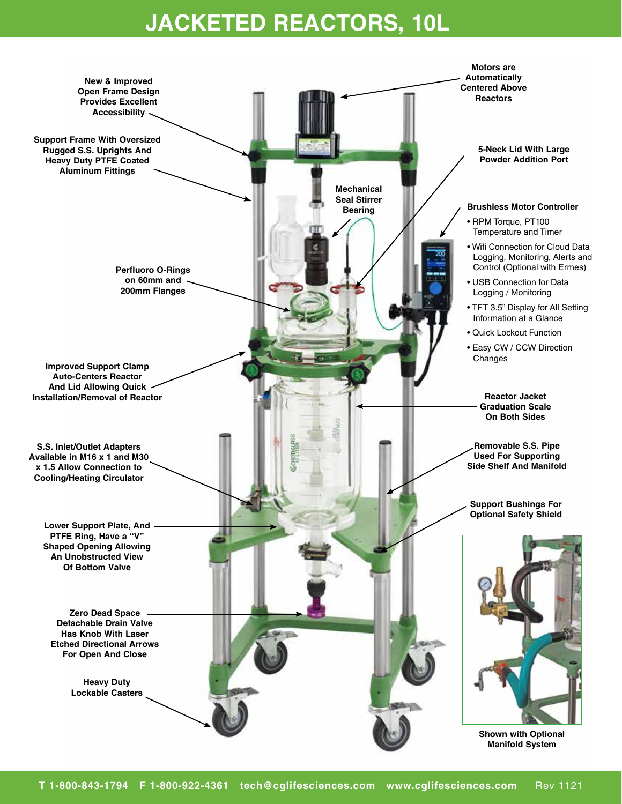## **JACKETED REACTORS, 10L**